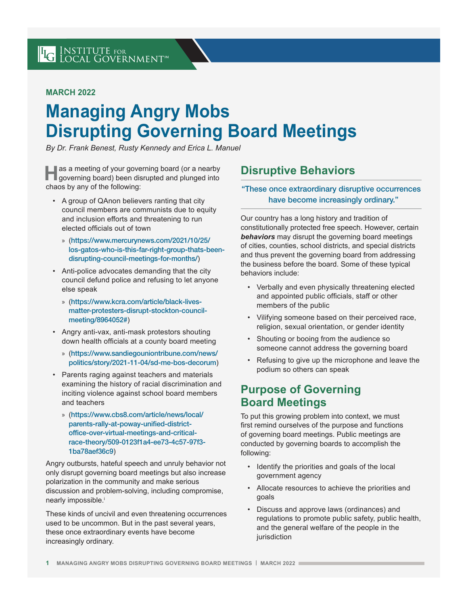## **MARCH 2022**

# **Managing Angry Mobs Disrupting Governing Board Meetings**

*By Dr. Frank Benest, Rusty Kennedy and Erica L. Manuel* 

**Has a meeting of your governing board (or a nearby governing board) been disrupted and plunged into** chaos by any of the following:

- A group of QAnon believers ranting that city council members are communists due to equity and inclusion efforts and threatening to run elected officials out of town
	- » ([https://www.mercurynews.com/2021/10/25/](https://www.mercurynews.com/2021/10/25/los-gatos-who-is-this-far-right-group-thats-been-disrupting-council-meetings-for-months/) [los-gatos-who-is-this-far-right-group-thats-been](https://www.mercurynews.com/2021/10/25/los-gatos-who-is-this-far-right-group-thats-been-disrupting-council-meetings-for-months/)[disrupting-council-meetings-for-months/](https://www.mercurynews.com/2021/10/25/los-gatos-who-is-this-far-right-group-thats-been-disrupting-council-meetings-for-months/))
- Anti-police advocates demanding that the city council defund police and refusing to let anyone else speak
	- » ([https://www.kcra.com/article/black-lives](https://www.kcra.com/article/black-lives-matter-protesters-disrupt-stockton-council-meeting/8964052)[matter-protesters-disrupt-stockton-council](https://www.kcra.com/article/black-lives-matter-protesters-disrupt-stockton-council-meeting/8964052)[meeting/8964052#](https://www.kcra.com/article/black-lives-matter-protesters-disrupt-stockton-council-meeting/8964052))
- Angry anti-vax, anti-mask protestors shouting down health officials at a county board meeting
	- » ([https://www.sandiegouniontribune.com/news/](https://www.sandiegouniontribune.com/news/politics/story/2021-11-04/sd-me-bos-decorum) [politics/story/2021-11-04/sd-me-bos-decorum](https://www.sandiegouniontribune.com/news/politics/story/2021-11-04/sd-me-bos-decorum))
- Parents raging against teachers and materials examining the history of racial discrimination and inciting violence against school board members and teachers
	- » ([https://www.cbs8.com/article/news/local/](https://www.cbs8.com/article/news/local/parents-rally-at-poway-unified-district-office-over-virtual-meetings-and-critical-race-theory/509-0123f1a4-ee73-4c57-97f3-1ba78aef36c9) [parents-rally-at-poway-unified-district](https://www.cbs8.com/article/news/local/parents-rally-at-poway-unified-district-office-over-virtual-meetings-and-critical-race-theory/509-0123f1a4-ee73-4c57-97f3-1ba78aef36c9)[office-over-virtual-meetings-and-critical](https://www.cbs8.com/article/news/local/parents-rally-at-poway-unified-district-office-over-virtual-meetings-and-critical-race-theory/509-0123f1a4-ee73-4c57-97f3-1ba78aef36c9)[race-theory/509-0123f1a4-ee73-4c57-97f3-](https://www.cbs8.com/article/news/local/parents-rally-at-poway-unified-district-office-over-virtual-meetings-and-critical-race-theory/509-0123f1a4-ee73-4c57-97f3-1ba78aef36c9) [1ba78aef36c9](https://www.cbs8.com/article/news/local/parents-rally-at-poway-unified-district-office-over-virtual-meetings-and-critical-race-theory/509-0123f1a4-ee73-4c57-97f3-1ba78aef36c9))

Angry outbursts, hateful speech and unruly behavior not only disrupt governing board meetings but also increase polarization in the community and make serious discussion and problem-solving, including compromise, nearly impossible.<sup>i</sup>

These kinds of uncivil and even threatening occurrences used to be uncommon. But in the past several years, these once extraordinary events have become increasingly ordinary.

## **Disruptive Behaviors**

#### "These once extraordinary disruptive occurrences have become increasingly ordinary."

Our country has a long history and tradition of constitutionally protected free speech. However, certain *behaviors* may disrupt the governing board meetings of cities, counties, school districts, and special districts and thus prevent the governing board from addressing the business before the board. Some of these typical behaviors include:

- Verbally and even physically threatening elected and appointed public officials, staff or other members of the public
- Vilifying someone based on their perceived race, religion, sexual orientation, or gender identity
- Shouting or booing from the audience so someone cannot address the governing board
- Refusing to give up the microphone and leave the podium so others can speak

## **Purpose of Governing Board Meetings**

To put this growing problem into context, we must first remind ourselves of the purpose and functions of governing board meetings. Public meetings are conducted by governing boards to accomplish the following:

- Identify the priorities and goals of the local government agency
- Allocate resources to achieve the priorities and goals
- Discuss and approve laws (ordinances) and regulations to promote public safety, public health, and the general welfare of the people in the iurisdiction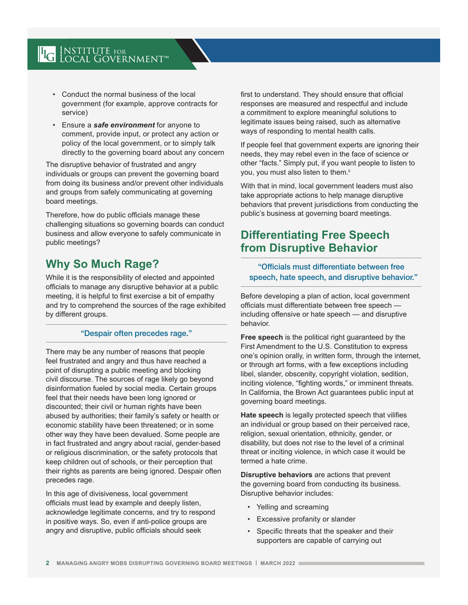# **LG INSTITUTE FOR LOCAL GOVERNMENT**

- Conduct the normal business of the local government (for example, approve contracts for service)
- Ensure a *safe environment* for anyone to comment, provide input, or protect any action or policy of the local government, or to simply talk directly to the governing board about any concern

The disruptive behavior of frustrated and angry individuals or groups can prevent the governing board from doing its business and/or prevent other individuals and groups from safely communicating at governing board meetings.

Therefore, how do public officials manage these challenging situations so governing boards can conduct business and allow everyone to safely communicate in public meetings?

## **Why So Much Rage?**

While it is the responsibility of elected and appointed officials to manage any disruptive behavior at a public meeting, it is helpful to first exercise a bit of empathy and try to comprehend the sources of the rage exhibited by different groups.

#### "Despair often precedes rage."

There may be any number of reasons that people feel frustrated and angry and thus have reached a point of disrupting a public meeting and blocking civil discourse. The sources of rage likely go beyond disinformation fueled by social media. Certain groups feel that their needs have been long ignored or discounted; their civil or human rights have been abused by authorities; their family's safety or health or economic stability have been threatened; or in some other way they have been devalued. Some people are in fact frustrated and angry about racial, gender-based or religious discrimination, or the safety protocols that keep children out of schools, or their perception that their rights as parents are being ignored. Despair often precedes rage.

In this age of divisiveness, local government officials must lead by example and deeply listen, acknowledge legitimate concerns, and try to respond in positive ways. So, even if anti-police groups are angry and disruptive, public officials should seek

first to understand. They should ensure that official responses are measured and respectful and include a commitment to explore meaningful solutions to legitimate issues being raised, such as alternative ways of responding to mental health calls.

If people feel that government experts are ignoring their needs, they may rebel even in the face of science or other "facts." Simply put, if you want people to listen to you, you must also listen to them.<sup>ii</sup>

With that in mind, local government leaders must also take appropriate actions to help manage disruptive behaviors that prevent jurisdictions from conducting the public's business at governing board meetings.

## **Differentiating Free Speech from Disruptive Behavior**

"Officials must differentiate between free speech, hate speech, and disruptive behavior."

Before developing a plan of action, local government officials must differentiate between free speech including offensive or hate speech — and disruptive behavior.

**Free speech** is the political right guaranteed by the First Amendment to the U.S. Constitution to express one's opinion orally, in written form, through the internet, or through art forms, with a few exceptions including libel, slander, obscenity, copyright violation, sedition, inciting violence, "fighting words," or imminent threats. In California, the Brown Act guarantees public input at governing board meetings.

**Hate speech** is legally protected speech that vilifies an individual or group based on their perceived race, religion, sexual orientation, ethnicity, gender, or disability, but does not rise to the level of a criminal threat or inciting violence, in which case it would be termed a hate crime.

**Disruptive behaviors** are actions that prevent the governing board from conducting its business. Disruptive behavior includes:

- Yelling and screaming
- Excessive profanity or slander
- Specific threats that the speaker and their supporters are capable of carrying out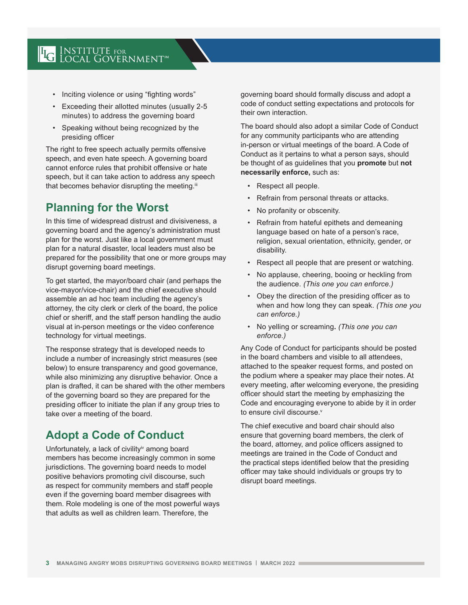# **LG INSTITUTE FOR LOCAL GOVERNMENT**

- Inciting violence or using "fighting words"
- Exceeding their allotted minutes (usually 2-5 minutes) to address the governing board
- Speaking without being recognized by the presiding officer

The right to free speech actually permits offensive speech, and even hate speech. A governing board cannot enforce rules that prohibit offensive or hate speech, but it can take action to address any speech that becomes behavior disrupting the meeting.<sup>iii</sup>

# **Planning for the Worst**

In this time of widespread distrust and divisiveness, a governing board and the agency's administration must plan for the worst. Just like a local government must plan for a natural disaster, local leaders must also be prepared for the possibility that one or more groups may disrupt governing board meetings.

To get started, the mayor/board chair (and perhaps the vice-mayor/vice-chair) and the chief executive should assemble an ad hoc team including the agency's attorney, the city clerk or clerk of the board, the police chief or sheriff, and the staff person handling the audio visual at in-person meetings or the video conference technology for virtual meetings.

The response strategy that is developed needs to include a number of increasingly strict measures (see below) to ensure transparency and good governance, while also minimizing any disruptive behavior. Once a plan is drafted, it can be shared with the other members of the governing board so they are prepared for the presiding officer to initiate the plan if any group tries to take over a meeting of the board.

## **Adopt a Code of Conduct**

Unfortunately, a lack of civility<sup>iv</sup> among board members has become increasingly common in some jurisdictions. The governing board needs to model positive behaviors promoting civil discourse, such as respect for community members and staff people even if the governing board member disagrees with them. Role modeling is one of the most powerful ways that adults as well as children learn. Therefore, the

governing board should formally discuss and adopt a code of conduct setting expectations and protocols for their own interaction.

The board should also adopt a similar Code of Conduct for any community participants who are attending in-person or virtual meetings of the board. A Code of Conduct as it pertains to what a person says, should be thought of as guidelines that you **promote** but **not necessarily enforce,** such as:

- Respect all people.
- Refrain from personal threats or attacks.
- No profanity or obscenity.
- Refrain from hateful epithets and demeaning language based on hate of a person's race, religion, sexual orientation, ethnicity, gender, or disability.
- Respect all people that are present or watching.
- No applause, cheering, booing or heckling from the audience. *(This one you can enforce.)*
- Obey the direction of the presiding officer as to when and how long they can speak. *(This one you can enforce.)*
- No yelling or screaming**.** *(This one you can enforce.)*

Any Code of Conduct for participants should be posted in the board chambers and visible to all attendees, attached to the speaker request forms, and posted on the podium where a speaker may place their notes. At every meeting, after welcoming everyone, the presiding officer should start the meeting by emphasizing the Code and encouraging everyone to abide by it in order to ensure civil discourse.<sup>v</sup>

The chief executive and board chair should also ensure that governing board members, the clerk of the board, attorney, and police officers assigned to meetings are trained in the Code of Conduct and the practical steps identified below that the presiding officer may take should individuals or groups try to disrupt board meetings.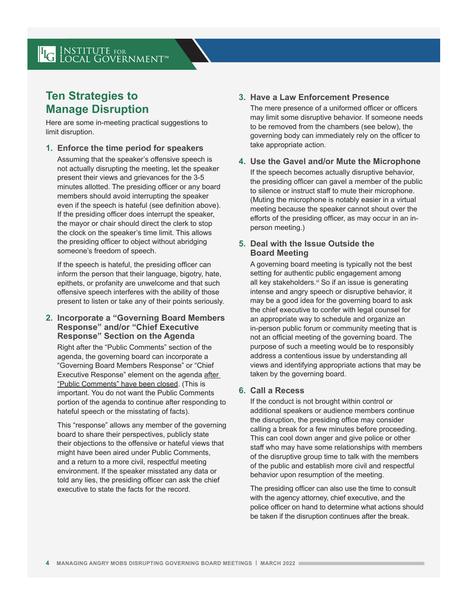## **Ten Strategies to Manage Disruption**

Here are some in-meeting practical suggestions to limit disruption.

**1. Enforce the time period for speakers**

Assuming that the speaker's offensive speech is not actually disrupting the meeting, let the speaker present their views and grievances for the 3-5 minutes allotted. The presiding officer or any board members should avoid interrupting the speaker even if the speech is hateful (see definition above). If the presiding officer does interrupt the speaker, the mayor or chair should direct the clerk to stop the clock on the speaker's time limit. This allows the presiding officer to object without abridging someone's freedom of speech.

If the speech is hateful, the presiding officer can inform the person that their language, bigotry, hate, epithets, or profanity are unwelcome and that such offensive speech interferes with the ability of those present to listen or take any of their points seriously.

**2. Incorporate a "Governing Board Members Response" and/or "Chief Executive Response" Section on the Agenda** 

Right after the "Public Comments" section of the agenda, the governing board can incorporate a "Governing Board Members Response" or "Chief Executive Response" element on the agenda after "Public Comments" have been closed. (This is important. You do not want the Public Comments portion of the agenda to continue after responding to hateful speech or the misstating of facts).

This "response" allows any member of the governing board to share their perspectives, publicly state their objections to the offensive or hateful views that might have been aired under Public Comments, and a return to a more civil, respectful meeting environment. If the speaker misstated any data or told any lies, the presiding officer can ask the chief executive to state the facts for the record.

### **3. Have a Law Enforcement Presence**

The mere presence of a uniformed officer or officers may limit some disruptive behavior. If someone needs to be removed from the chambers (see below), the governing body can immediately rely on the officer to take appropriate action.

#### **4. Use the Gavel and/or Mute the Microphone** If the speech becomes actually disruptive behavior, the presiding officer can gavel a member of the public to silence or instruct staff to mute their microphone. (Muting the microphone is notably easier in a virtual meeting because the speaker cannot shout over the efforts of the presiding officer, as may occur in an inperson meeting.)

### **5. Deal with the Issue Outside the Board Meeting**

A governing board meeting is typically not the best setting for authentic public engagement among all key stakeholders.<sup>vi</sup> So if an issue is generating intense and angry speech or disruptive behavior, it may be a good idea for the governing board to ask the chief executive to confer with legal counsel for an appropriate way to schedule and organize an in-person public forum or community meeting that is not an official meeting of the governing board. The purpose of such a meeting would be to responsibly address a contentious issue by understanding all views and identifying appropriate actions that may be taken by the governing board.

#### **6. Call a Recess**

If the conduct is not brought within control or additional speakers or audience members continue the disruption, the presiding office may consider calling a break for a few minutes before proceeding. This can cool down anger and give police or other staff who may have some relationships with members of the disruptive group time to talk with the members of the public and establish more civil and respectful behavior upon resumption of the meeting.

The presiding officer can also use the time to consult with the agency attorney, chief executive, and the police officer on hand to determine what actions should be taken if the disruption continues after the break.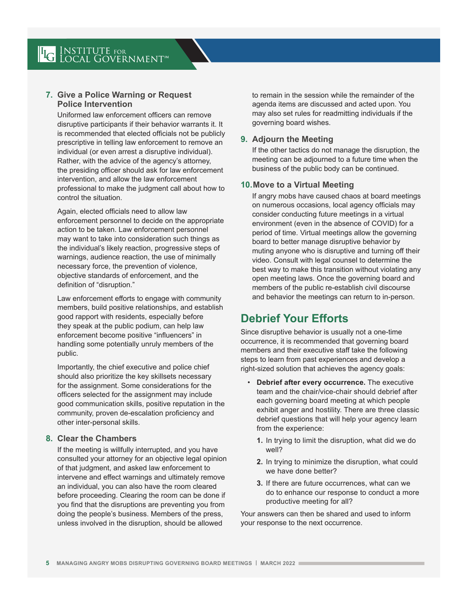### **7. Give a Police Warning or Request Police Intervention**

Uniformed law enforcement officers can remove disruptive participants if their behavior warrants it. It is recommended that elected officials not be publicly prescriptive in telling law enforcement to remove an individual (or even arrest a disruptive individual). Rather, with the advice of the agency's attorney, the presiding officer should ask for law enforcement intervention, and allow the law enforcement professional to make the judgment call about how to control the situation.

Again, elected officials need to allow law enforcement personnel to decide on the appropriate action to be taken. Law enforcement personnel may want to take into consideration such things as the individual's likely reaction, progressive steps of warnings, audience reaction, the use of minimally necessary force, the prevention of violence, objective standards of enforcement, and the definition of "disruption."

Law enforcement efforts to engage with community members, build positive relationships, and establish good rapport with residents, especially before they speak at the public podium, can help law enforcement become positive "influencers" in handling some potentially unruly members of the public.

Importantly, the chief executive and police chief should also prioritize the key skillsets necessary for the assignment. Some considerations for the officers selected for the assignment may include good communication skills, positive reputation in the community, proven de-escalation proficiency and other inter-personal skills.

#### **8. Clear the Chambers**

If the meeting is willfully interrupted, and you have consulted your attorney for an objective legal opinion of that judgment, and asked law enforcement to intervene and effect warnings and ultimately remove an individual, you can also have the room cleared before proceeding. Clearing the room can be done if you find that the disruptions are preventing you from doing the people's business. Members of the press, unless involved in the disruption, should be allowed

to remain in the session while the remainder of the agenda items are discussed and acted upon. You may also set rules for readmitting individuals if the governing board wishes.

#### **9. Adjourn the Meeting**

If the other tactics do not manage the disruption, the meeting can be adjourned to a future time when the business of the public body can be continued.

#### **10.Move to a Virtual Meeting**

If angry mobs have caused chaos at board meetings on numerous occasions, local agency officials may consider conducting future meetings in a virtual environment (even in the absence of COVID) for a period of time. Virtual meetings allow the governing board to better manage disruptive behavior by muting anyone who is disruptive and turning off their video. Consult with legal counsel to determine the best way to make this transition without violating any open meeting laws. Once the governing board and members of the public re-establish civil discourse and behavior the meetings can return to in-person.

# **Debrief Your Efforts**

Since disruptive behavior is usually not a one-time occurrence, it is recommended that governing board members and their executive staff take the following steps to learn from past experiences and develop a right-sized solution that achieves the agency goals:

- **Debrief after every occurrence.** The executive team and the chair/vice-chair should debrief after each governing board meeting at which people exhibit anger and hostility. There are three classic debrief questions that will help your agency learn from the experience:
	- **1.** In trying to limit the disruption, what did we do well?
	- **2.** In trying to minimize the disruption, what could we have done better?
	- **3.** If there are future occurrences, what can we do to enhance our response to conduct a more productive meeting for all?

Your answers can then be shared and used to inform your response to the next occurrence.